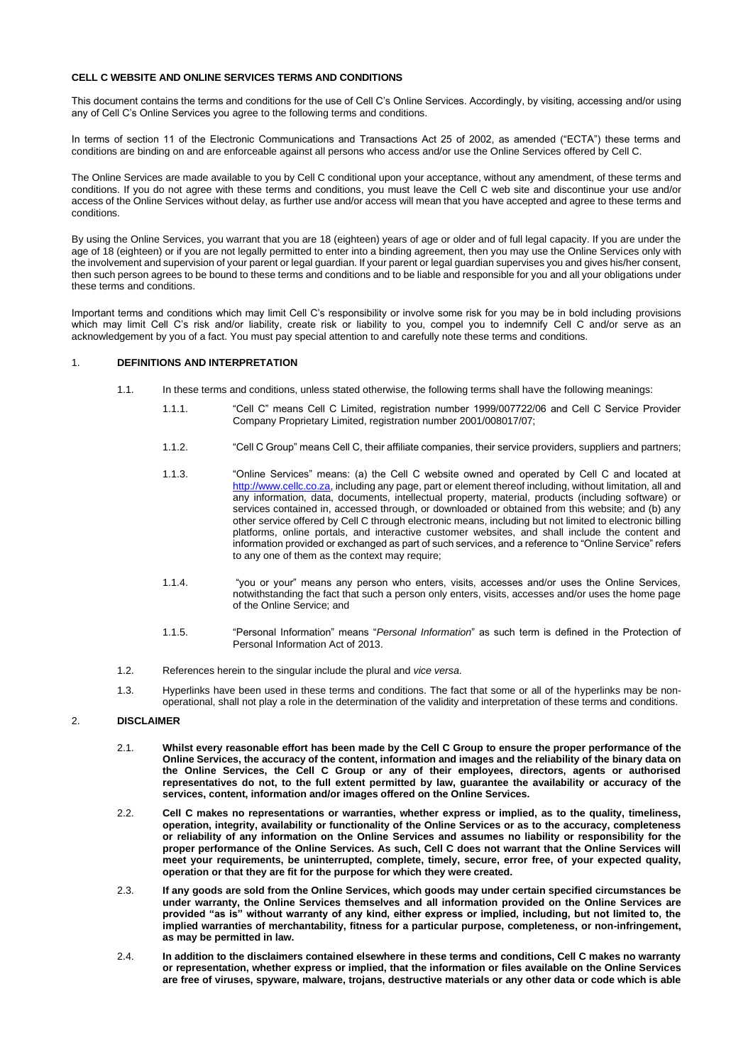### **CELL C WEBSITE AND ONLINE SERVICES TERMS AND CONDITIONS**

This document contains the terms and conditions for the use of Cell C's Online Services. Accordingly, by visiting, accessing and/or using any of Cell C's Online Services you agree to the following terms and conditions.

In terms of section 11 of the Electronic Communications and Transactions Act 25 of 2002, as amended ("ECTA") these terms and conditions are binding on and are enforceable against all persons who access and/or use the Online Services offered by Cell C.

The Online Services are made available to you by Cell C conditional upon your acceptance, without any amendment, of these terms and conditions. If you do not agree with these terms and conditions, you must leave the Cell C web site and discontinue your use and/or access of the Online Services without delay, as further use and/or access will mean that you have accepted and agree to these terms and conditions.

By using the Online Services, you warrant that you are 18 (eighteen) years of age or older and of full legal capacity. If you are under the age of 18 (eighteen) or if you are not legally permitted to enter into a binding agreement, then you may use the Online Services only with the involvement and supervision of your parent or legal guardian. If your parent or legal guardian supervises you and gives his/her consent, then such person agrees to be bound to these terms and conditions and to be liable and responsible for you and all your obligations under these terms and conditions.

Important terms and conditions which may limit Cell C's responsibility or involve some risk for you may be in bold including provisions which may limit Cell C's risk and/or liability, create risk or liability to you, compel you to indemnify Cell C and/or serve as an acknowledgement by you of a fact. You must pay special attention to and carefully note these terms and conditions.

### 1. **DEFINITIONS AND INTERPRETATION**

- 1.1. In these terms and conditions, unless stated otherwise, the following terms shall have the following meanings:
	- 1.1.1. "Cell C" means Cell C Limited, registration number 1999/007722/06 and Cell C Service Provider Company Proprietary Limited, registration number 2001/008017/07;
	- 1.1.2. "Cell C Group" means Cell C, their affiliate companies, their service providers, suppliers and partners;
	- 1.1.3. "Online Services" means: (a) the Cell C website owned and operated by Cell C and located at [http://www.cellc.co.za,](http://www.cellc.co.za/) including any page, part or element thereof including, without limitation, all and any information, data, documents, intellectual property, material, products (including software) or services contained in, accessed through, or downloaded or obtained from this website; and (b) any other service offered by Cell C through electronic means, including but not limited to electronic billing platforms, online portals, and interactive customer websites, and shall include the content and information provided or exchanged as part of such services, and a reference to "Online Service" refers to any one of them as the context may require;
	- 1.1.4. "you or your" means any person who enters, visits, accesses and/or uses the Online Services, notwithstanding the fact that such a person only enters, visits, accesses and/or uses the home page of the Online Service; and
	- 1.1.5. "Personal Information" means "*Personal Information*" as such term is defined in the Protection of Personal Information Act of 2013.
- 1.2. References herein to the singular include the plural and *vice versa*.
- 1.3. Hyperlinks have been used in these terms and conditions. The fact that some or all of the hyperlinks may be nonoperational, shall not play a role in the determination of the validity and interpretation of these terms and conditions.

# 2. **DISCLAIMER**

- 2.1. **Whilst every reasonable effort has been made by the Cell C Group to ensure the proper performance of the Online Services, the accuracy of the content, information and images and the reliability of the binary data on the Online Services, the Cell C Group or any of their employees, directors, agents or authorised representatives do not, to the full extent permitted by law, guarantee the availability or accuracy of the services, content, information and/or images offered on the Online Services.**
- 2.2. **Cell C makes no representations or warranties, whether express or implied, as to the quality, timeliness, operation, integrity, availability or functionality of the Online Services or as to the accuracy, completeness or reliability of any information on the Online Services and assumes no liability or responsibility for the proper performance of the Online Services. As such, Cell C does not warrant that the Online Services will meet your requirements, be uninterrupted, complete, timely, secure, error free, of your expected quality, operation or that they are fit for the purpose for which they were created.**
- 2.3. **If any goods are sold from the Online Services, which goods may under certain specified circumstances be under warranty, the Online Services themselves and all information provided on the Online Services are provided "as is" without warranty of any kind, either express or implied, including, but not limited to, the implied warranties of merchantability, fitness for a particular purpose, completeness, or non-infringement, as may be permitted in law.**
- 2.4. **In addition to the disclaimers contained elsewhere in these terms and conditions, Cell C makes no warranty or representation, whether express or implied, that the information or files available on the Online Services are free of viruses, spyware, malware, trojans, destructive materials or any other data or code which is able**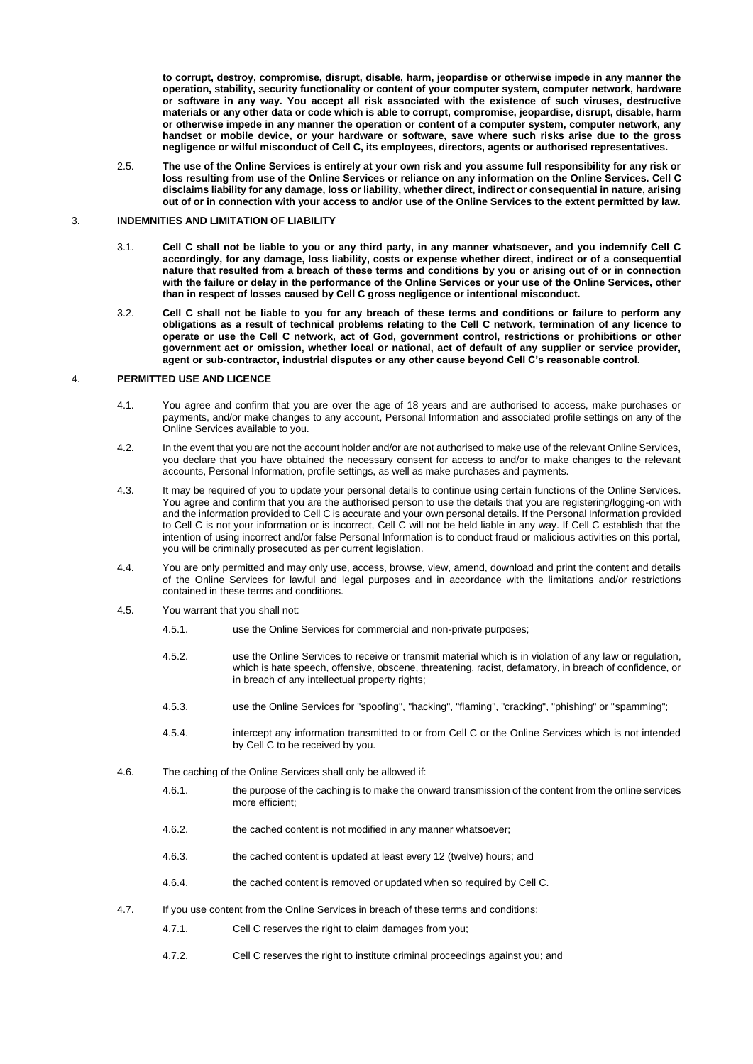**to corrupt, destroy, compromise, disrupt, disable, harm, jeopardise or otherwise impede in any manner the operation, stability, security functionality or content of your computer system, computer network, hardware or software in any way. You accept all risk associated with the existence of such viruses, destructive materials or any other data or code which is able to corrupt, compromise, jeopardise, disrupt, disable, harm or otherwise impede in any manner the operation or content of a computer system, computer network, any handset or mobile device, or your hardware or software, save where such risks arise due to the gross negligence or wilful misconduct of Cell C, its employees, directors, agents or authorised representatives.**

2.5. **The use of the Online Services is entirely at your own risk and you assume full responsibility for any risk or loss resulting from use of the Online Services or reliance on any information on the Online Services. Cell C disclaims liability for any damage, loss or liability, whether direct, indirect or consequential in nature, arising out of or in connection with your access to and/or use of the Online Services to the extent permitted by law.**

#### 3. **INDEMNITIES AND LIMITATION OF LIABILITY**

- 3.1. **Cell C shall not be liable to you or any third party, in any manner whatsoever, and you indemnify Cell C accordingly, for any damage, loss liability, costs or expense whether direct, indirect or of a consequential nature that resulted from a breach of these terms and conditions by you or arising out of or in connection with the failure or delay in the performance of the Online Services or your use of the Online Services, other than in respect of losses caused by Cell C gross negligence or intentional misconduct.**
- 3.2. **Cell C shall not be liable to you for any breach of these terms and conditions or failure to perform any obligations as a result of technical problems relating to the Cell C network, termination of any licence to operate or use the Cell C network, act of God, government control, restrictions or prohibitions or other government act or omission, whether local or national, act of default of any supplier or service provider, agent or sub-contractor, industrial disputes or any other cause beyond Cell C's reasonable control.**

### 4. **PERMITTED USE AND LICENCE**

- 4.1. You agree and confirm that you are over the age of 18 years and are authorised to access, make purchases or payments, and/or make changes to any account, Personal Information and associated profile settings on any of the Online Services available to you.
- 4.2. In the event that you are not the account holder and/or are not authorised to make use of the relevant Online Services, you declare that you have obtained the necessary consent for access to and/or to make changes to the relevant accounts, Personal Information, profile settings, as well as make purchases and payments.
- 4.3. It may be required of you to update your personal details to continue using certain functions of the Online Services. You agree and confirm that you are the authorised person to use the details that you are registering/logging-on with and the information provided to Cell C is accurate and your own personal details. If the Personal Information provided to Cell C is not your information or is incorrect, Cell C will not be held liable in any way. If Cell C establish that the intention of using incorrect and/or false Personal Information is to conduct fraud or malicious activities on this portal, you will be criminally prosecuted as per current legislation.
- 4.4. You are only permitted and may only use, access, browse, view, amend, download and print the content and details of the Online Services for lawful and legal purposes and in accordance with the limitations and/or restrictions contained in these terms and conditions.
- 4.5. You warrant that you shall not:
	- 4.5.1. use the Online Services for commercial and non-private purposes;
	- 4.5.2. use the Online Services to receive or transmit material which is in violation of any law or regulation, which is hate speech, offensive, obscene, threatening, racist, defamatory, in breach of confidence, or in breach of any intellectual property rights;
	- 4.5.3. use the Online Services for "spoofing", "hacking", "flaming", "cracking", "phishing" or "spamming";
	- 4.5.4. intercept any information transmitted to or from Cell C or the Online Services which is not intended by Cell C to be received by you.
- 4.6. The caching of the Online Services shall only be allowed if:
	- 4.6.1. the purpose of the caching is to make the onward transmission of the content from the online services more efficient;
	- 4.6.2. the cached content is not modified in any manner whatsoever;
	- 4.6.3. the cached content is updated at least every 12 (twelve) hours; and
	- 4.6.4. the cached content is removed or updated when so required by Cell C.
- 4.7. If you use content from the Online Services in breach of these terms and conditions:
	- 4.7.1. Cell C reserves the right to claim damages from you;
	- 4.7.2. Cell C reserves the right to institute criminal proceedings against you; and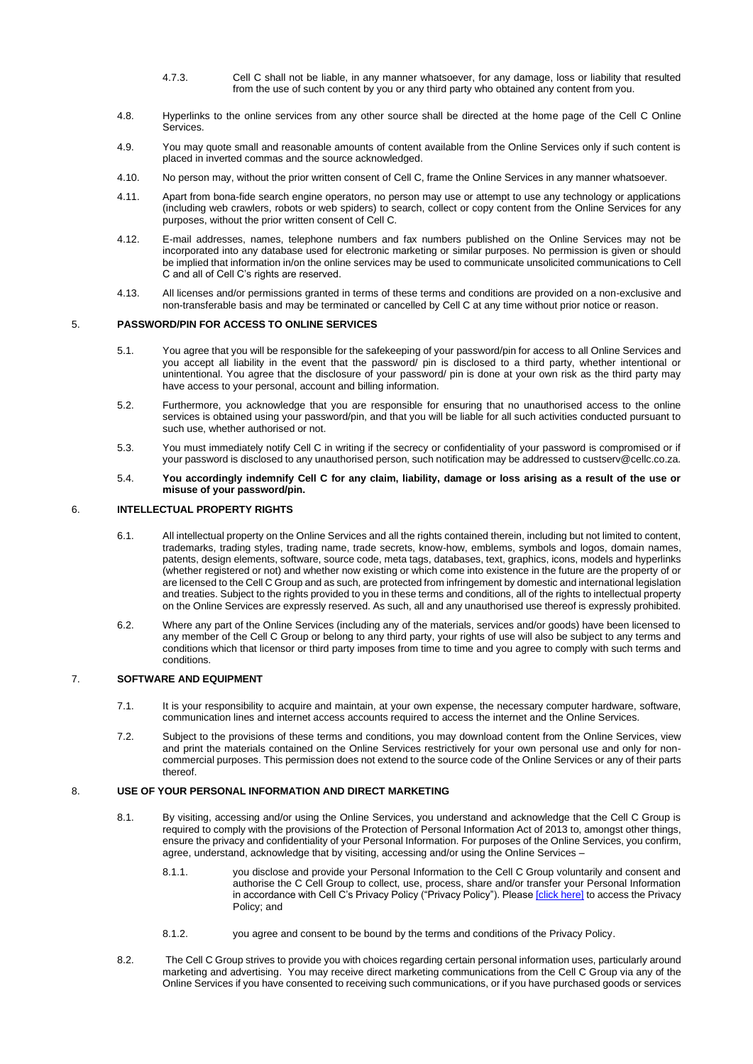- 4.7.3. Cell C shall not be liable, in any manner whatsoever, for any damage, loss or liability that resulted from the use of such content by you or any third party who obtained any content from you.
- 4.8. Hyperlinks to the online services from any other source shall be directed at the home page of the Cell C Online Services.
- 4.9. You may quote small and reasonable amounts of content available from the Online Services only if such content is placed in inverted commas and the source acknowledged.
- 4.10. No person may, without the prior written consent of Cell C, frame the Online Services in any manner whatsoever.
- 4.11. Apart from bona-fide search engine operators, no person may use or attempt to use any technology or applications (including web crawlers, robots or web spiders) to search, collect or copy content from the Online Services for any purposes, without the prior written consent of Cell C.
- 4.12. E-mail addresses, names, telephone numbers and fax numbers published on the Online Services may not be incorporated into any database used for electronic marketing or similar purposes. No permission is given or should be implied that information in/on the online services may be used to communicate unsolicited communications to Cell C and all of Cell C's rights are reserved.
- 4.13. All licenses and/or permissions granted in terms of these terms and conditions are provided on a non-exclusive and non-transferable basis and may be terminated or cancelled by Cell C at any time without prior notice or reason.

## 5. **PASSWORD/PIN FOR ACCESS TO ONLINE SERVICES**

- 5.1. You agree that you will be responsible for the safekeeping of your password/pin for access to all Online Services and you accept all liability in the event that the password/ pin is disclosed to a third party, whether intentional or unintentional. You agree that the disclosure of your password/ pin is done at your own risk as the third party may have access to your personal, account and billing information.
- 5.2. Furthermore, you acknowledge that you are responsible for ensuring that no unauthorised access to the online services is obtained using your password/pin, and that you will be liable for all such activities conducted pursuant to such use, whether authorised or not.
- 5.3. You must immediately notify Cell C in writing if the secrecy or confidentiality of your password is compromised or if your password is disclosed to any unauthorised person, such notification may be addressed to custserv@cellc.co.za.
- 5.4. **You accordingly indemnify Cell C for any claim, liability, damage or loss arising as a result of the use or misuse of your password/pin.**

# 6. **INTELLECTUAL PROPERTY RIGHTS**

- 6.1. All intellectual property on the Online Services and all the rights contained therein, including but not limited to content, trademarks, trading styles, trading name, trade secrets, know-how, emblems, symbols and logos, domain names, patents, design elements, software, source code, meta tags, databases, text, graphics, icons, models and hyperlinks (whether registered or not) and whether now existing or which come into existence in the future are the property of or are licensed to the Cell C Group and as such, are protected from infringement by domestic and international legislation and treaties. Subject to the rights provided to you in these terms and conditions, all of the rights to intellectual property on the Online Services are expressly reserved. As such, all and any unauthorised use thereof is expressly prohibited.
- 6.2. Where any part of the Online Services (including any of the materials, services and/or goods) have been licensed to any member of the Cell C Group or belong to any third party, your rights of use will also be subject to any terms and conditions which that licensor or third party imposes from time to time and you agree to comply with such terms and conditions.

### 7. **SOFTWARE AND EQUIPMENT**

- 7.1. It is your responsibility to acquire and maintain, at your own expense, the necessary computer hardware, software, communication lines and internet access accounts required to access the internet and the Online Services.
- 7.2. Subject to the provisions of these terms and conditions, you may download content from the Online Services, view and print the materials contained on the Online Services restrictively for your own personal use and only for noncommercial purposes. This permission does not extend to the source code of the Online Services or any of their parts thereof.

# 8. **USE OF YOUR PERSONAL INFORMATION AND DIRECT MARKETING**

- 8.1. By visiting, accessing and/or using the Online Services, you understand and acknowledge that the Cell C Group is required to comply with the provisions of the Protection of Personal Information Act of 2013 to, amongst other things, ensure the privacy and confidentiality of your Personal Information. For purposes of the Online Services, you confirm, agree, understand, acknowledge that by visiting, accessing and/or using the Online Services –
	- 8.1.1. you disclose and provide your Personal Information to the Cell C Group voluntarily and consent and authorise the C Cell Group to collect, use, process, share and/or transfer your Personal Information in accordance with Cell C's Privacy Policy ("Privacy Policy"). Please [\[click here\]](https://www.cellc.co.za/cellc/static-content/PDF/Privacy_Policy.pdf) to access the Privacy Policy; and
	- 8.1.2. you agree and consent to be bound by the terms and conditions of the Privacy Policy.
- 8.2. The Cell C Group strives to provide you with choices regarding certain personal information uses, particularly around marketing and advertising. You may receive direct marketing communications from the Cell C Group via any of the Online Services if you have consented to receiving such communications, or if you have purchased goods or services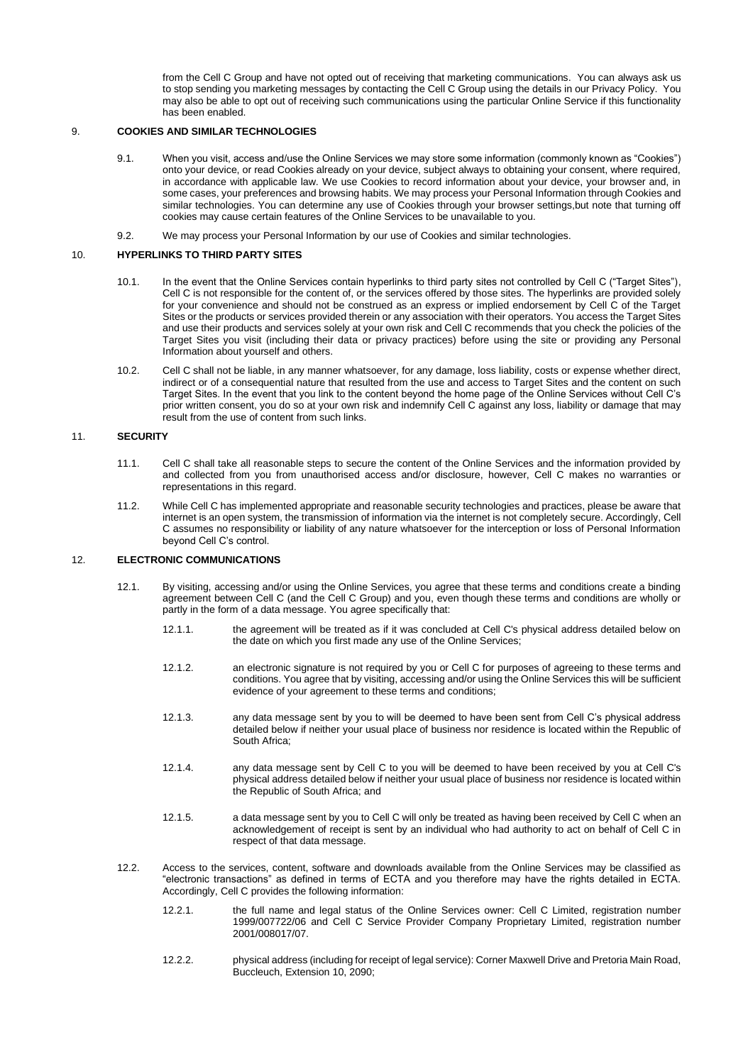from the Cell C Group and have not opted out of receiving that marketing communications. You can always ask us to stop sending you marketing messages by contacting the Cell C Group using the details in our Privacy Policy. You may also be able to opt out of receiving such communications using the particular Online Service if this functionality has been enabled.

# 9. **COOKIES AND SIMILAR TECHNOLOGIES**

- 9.1. When you visit, access and/use the Online Services we may store some information (commonly known as "Cookies") onto your device, or read Cookies already on your device, subject always to obtaining your consent, where required, in accordance with applicable law. We use Cookies to record information about your device, your browser and, in some cases, your preferences and browsing habits. We may process your Personal Information through Cookies and similar technologies. You can determine any use of Cookies through your browser settings,but note that turning off cookies may cause certain features of the Online Services to be unavailable to you.
- 9.2. We may process your Personal Information by our use of Cookies and similar technologies.

### 10. **HYPERLINKS TO THIRD PARTY SITES**

- 10.1. In the event that the Online Services contain hyperlinks to third party sites not controlled by Cell C ("Target Sites"), Cell C is not responsible for the content of, or the services offered by those sites. The hyperlinks are provided solely for your convenience and should not be construed as an express or implied endorsement by Cell C of the Target Sites or the products or services provided therein or any association with their operators. You access the Target Sites and use their products and services solely at your own risk and Cell C recommends that you check the policies of the Target Sites you visit (including their data or privacy practices) before using the site or providing any Personal Information about yourself and others.
- 10.2. Cell C shall not be liable, in any manner whatsoever, for any damage, loss liability, costs or expense whether direct, indirect or of a consequential nature that resulted from the use and access to Target Sites and the content on such Target Sites. In the event that you link to the content beyond the home page of the Online Services without Cell C's prior written consent, you do so at your own risk and indemnify Cell C against any loss, liability or damage that may result from the use of content from such links.

#### 11. **SECURITY**

- 11.1. Cell C shall take all reasonable steps to secure the content of the Online Services and the information provided by and collected from you from unauthorised access and/or disclosure, however, Cell C makes no warranties or representations in this regard.
- 11.2. While Cell C has implemented appropriate and reasonable security technologies and practices, please be aware that internet is an open system, the transmission of information via the internet is not completely secure. Accordingly, Cell C assumes no responsibility or liability of any nature whatsoever for the interception or loss of Personal Information beyond Cell C's control.

### 12. **ELECTRONIC COMMUNICATIONS**

- 12.1. By visiting, accessing and/or using the Online Services, you agree that these terms and conditions create a binding agreement between Cell C (and the Cell C Group) and you, even though these terms and conditions are wholly or partly in the form of a data message. You agree specifically that:
	- 12.1.1. the agreement will be treated as if it was concluded at Cell C's physical address detailed below on the date on which you first made any use of the Online Services;
	- 12.1.2. an electronic signature is not required by you or Cell C for purposes of agreeing to these terms and conditions. You agree that by visiting, accessing and/or using the Online Services this will be sufficient evidence of your agreement to these terms and conditions;
	- 12.1.3. any data message sent by you to will be deemed to have been sent from Cell C's physical address detailed below if neither your usual place of business nor residence is located within the Republic of South Africa;
	- 12.1.4. any data message sent by Cell C to you will be deemed to have been received by you at Cell C's physical address detailed below if neither your usual place of business nor residence is located within the Republic of South Africa; and
	- 12.1.5. a data message sent by you to Cell C will only be treated as having been received by Cell C when an acknowledgement of receipt is sent by an individual who had authority to act on behalf of Cell C in respect of that data message.
- 12.2. Access to the services, content, software and downloads available from the Online Services may be classified as "electronic transactions" as defined in terms of ECTA and you therefore may have the rights detailed in ECTA. Accordingly, Cell C provides the following information:
	- 12.2.1. the full name and legal status of the Online Services owner: Cell C Limited, registration number 1999/007722/06 and Cell C Service Provider Company Proprietary Limited, registration number 2001/008017/07.
	- 12.2.2. physical address (including for receipt of legal service): Corner Maxwell Drive and Pretoria Main Road, Buccleuch, Extension 10, 2090;